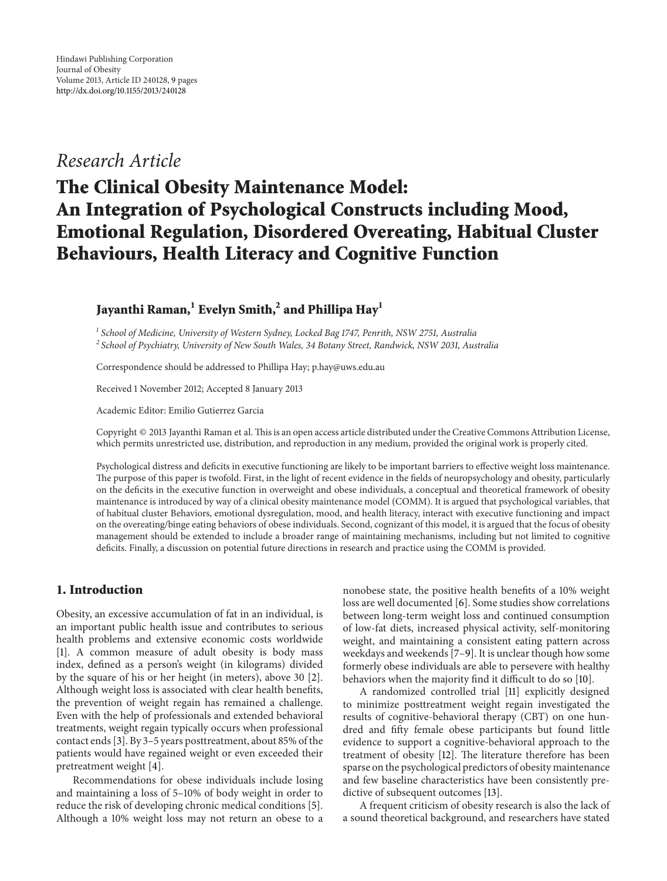# *Research Article*

# **The Clinical Obesity Maintenance Model: An Integration of Psychological Constructs including Mood, Emotional Regulation, Disordered Overeating, Habitual Cluster Behaviours, Health Literacy and Cognitive Function**

# **Jayanthi Raman,<sup>1</sup> Evelyn Smith,<sup>2</sup> and Phillipa Hay<sup>1</sup>**

*<sup>1</sup> School of Medicine, University of Western Sydney, Locked Bag 1747, Penrith, NSW 2751, Australia <sup>2</sup> School of Psychiatry, University of New South Wales, 34 Botany Street, Randwick, NSW 2031, Australia*

Correspondence should be addressed to Phillipa Hay; p.hay@uws.edu.au

Received 1 November 2012; Accepted 8 January 2013

Academic Editor: Emilio Gutierrez Garcia

Copyright © 2013 Jayanthi Raman et al.This is an open access article distributed under the Creative Commons Attribution License, which permits unrestricted use, distribution, and reproduction in any medium, provided the original work is properly cited.

Psychological distress and deficits in executive functioning are likely to be important barriers to effective weight loss maintenance. The purpose of this paper is twofold. First, in the light of recent evidence in the fields of neuropsychology and obesity, particularly on the deficits in the executive function in overweight and obese individuals, a conceptual and theoretical framework of obesity maintenance is introduced by way of a clinical obesity maintenance model (COMM). It is argued that psychological variables, that of habitual cluster Behaviors, emotional dysregulation, mood, and health literacy, interact with executive functioning and impact on the overeating/binge eating behaviors of obese individuals. Second, cognizant of this model, it is argued that the focus of obesity management should be extended to include a broader range of maintaining mechanisms, including but not limited to cognitive deficits. Finally, a discussion on potential future directions in research and practice using the COMM is provided.

## **1. Introduction**

Obesity, an excessive accumulation of fat in an individual, is an important public health issue and contributes to serious health problems and extensive economic costs worldwide [\[1](#page-4-1)]. A common measure of adult obesity is body mass index, defined as a person's weight (in kilograms) divided by the square of his or her height (in meters), above 30 [\[2\]](#page-4-2). Although weight loss is associated with clear health benefits, the prevention of weight regain has remained a challenge. Even with the help of professionals and extended behavioral treatments, weight regain typically occurs when professional contact ends [\[3](#page-4-3)]. By 3–5 years posttreatment, about 85% of the patients would have regained weight or even exceeded their pretreatment weight [\[4\]](#page-4-4).

Recommendations for obese individuals include losing and maintaining a loss of 5–10% of body weight in order to reduce the risk of developing chronic medical conditions [\[5\]](#page-4-5). Although a 10% weight loss may not return an obese to a nonobese state, the positive health benefits of a 10% weight loss are well documented [\[6\]](#page-5-0). Some studies show correlations between long-term weight loss and continued consumption of low-fat diets, increased physical activity, self-monitoring weight, and maintaining a consistent eating pattern across weekdays and weekends [\[7](#page-5-1)[–9](#page-5-2)]. It is unclear though how some formerly obese individuals are able to persevere with healthy behaviors when the majority find it difficult to do so [\[10](#page-5-3)].

A randomized controlled trial [\[11](#page-5-4)] explicitly designed to minimize posttreatment weight regain investigated the results of cognitive-behavioral therapy (CBT) on one hundred and fifty female obese participants but found little evidence to support a cognitive-behavioral approach to the treatment of obesity [\[12\]](#page-5-5). The literature therefore has been sparse on the psychological predictors of obesity maintenance and few baseline characteristics have been consistently predictive of subsequent outcomes [\[13\]](#page-5-6).

A frequent criticism of obesity research is also the lack of a sound theoretical background, and researchers have stated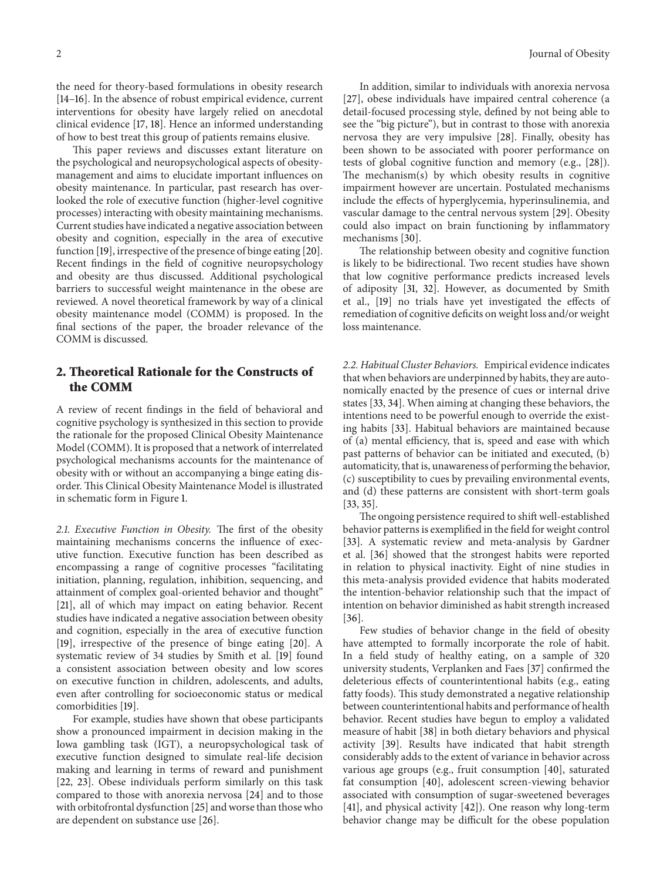the need for theory-based formulations in obesity research [\[14](#page-5-7)[–16\]](#page-5-8). In the absence of robust empirical evidence, current interventions for obesity have largely relied on anecdotal clinical evidence [\[17,](#page-5-9) [18\]](#page-5-10). Hence an informed understanding of how to best treat this group of patients remains elusive.

This paper reviews and discusses extant literature on the psychological and neuropsychological aspects of obesitymanagement and aims to elucidate important influences on obesity maintenance. In particular, past research has overlooked the role of executive function (higher-level cognitive processes) interacting with obesity maintaining mechanisms. Current studies have indicated a negative association between obesity and cognition, especially in the area of executive function [\[19\]](#page-5-11), irrespective of the presence of binge eating [\[20\]](#page-5-12). Recent findings in the field of cognitive neuropsychology and obesity are thus discussed. Additional psychological barriers to successful weight maintenance in the obese are reviewed. A novel theoretical framework by way of a clinical obesity maintenance model (COMM) is proposed. In the final sections of the paper, the broader relevance of the COMM is discussed.

### **2. Theoretical Rationale for the Constructs of the COMM**

A review of recent findings in the field of behavioral and cognitive psychology is synthesized in this section to provide the rationale for the proposed Clinical Obesity Maintenance Model (COMM). It is proposed that a network of interrelated psychological mechanisms accounts for the maintenance of obesity with or without an accompanying a binge eating disorder. This Clinical Obesity Maintenance Model is illustrated in schematic form in Figure [1.](#page-2-0)

*2.1. Executive Function in Obesity.* The first of the obesity maintaining mechanisms concerns the influence of executive function. Executive function has been described as encompassing a range of cognitive processes "facilitating initiation, planning, regulation, inhibition, sequencing, and attainment of complex goal-oriented behavior and thought" [\[21](#page-5-13)], all of which may impact on eating behavior. Recent studies have indicated a negative association between obesity and cognition, especially in the area of executive function [\[19](#page-5-11)], irrespective of the presence of binge eating [\[20](#page-5-12)]. A systematic review of 34 studies by Smith et al. [\[19\]](#page-5-11) found a consistent association between obesity and low scores on executive function in children, adolescents, and adults, even after controlling for socioeconomic status or medical comorbidities [\[19](#page-5-11)].

For example, studies have shown that obese participants show a pronounced impairment in decision making in the Iowa gambling task (IGT), a neuropsychological task of executive function designed to simulate real-life decision making and learning in terms of reward and punishment [\[22](#page-5-14), [23\]](#page-5-15). Obese individuals perform similarly on this task compared to those with anorexia nervosa [\[24\]](#page-5-16) and to those with orbitofrontal dysfunction [\[25](#page-5-17)] and worse than those who are dependent on substance use [\[26\]](#page-5-18).

In addition, similar to individuals with anorexia nervosa [\[27](#page-5-19)], obese individuals have impaired central coherence (a detail-focused processing style, defined by not being able to see the "big picture"), but in contrast to those with anorexia nervosa they are very impulsive [\[28\]](#page-5-20). Finally, obesity has been shown to be associated with poorer performance on tests of global cognitive function and memory (e.g., [\[28\]](#page-5-20)). The mechanism(s) by which obesity results in cognitive impairment however are uncertain. Postulated mechanisms include the effects of hyperglycemia, hyperinsulinemia, and vascular damage to the central nervous system [\[29\]](#page-5-21). Obesity could also impact on brain functioning by inflammatory mechanisms [\[30](#page-5-22)].

The relationship between obesity and cognitive function is likely to be bidirectional. Two recent studies have shown that low cognitive performance predicts increased levels of adiposity [\[31,](#page-5-23) [32\]](#page-5-24). However, as documented by Smith et al., [\[19](#page-5-11)] no trials have yet investigated the effects of remediation of cognitive deficits on weight loss and/or weight loss maintenance.

*2.2. Habitual Cluster Behaviors.* Empirical evidence indicates that when behaviors are underpinned by habits, they are autonomically enacted by the presence of cues or internal drive states [\[33,](#page-5-25) [34\]](#page-5-26). When aiming at changing these behaviors, the intentions need to be powerful enough to override the existing habits [\[33](#page-5-25)]. Habitual behaviors are maintained because of (a) mental efficiency, that is, speed and ease with which past patterns of behavior can be initiated and executed, (b) automaticity, that is, unawareness of performing the behavior, (c) susceptibility to cues by prevailing environmental events, and (d) these patterns are consistent with short-term goals [\[33,](#page-5-25) [35](#page-5-27)].

The ongoing persistence required to shift well-established behavior patterns is exemplified in the field for weight control [\[33\]](#page-5-25). A systematic review and meta-analysis by Gardner et al. [\[36](#page-5-28)] showed that the strongest habits were reported in relation to physical inactivity. Eight of nine studies in this meta-analysis provided evidence that habits moderated the intention-behavior relationship such that the impact of intention on behavior diminished as habit strength increased [\[36\]](#page-5-28).

Few studies of behavior change in the field of obesity have attempted to formally incorporate the role of habit. In a field study of healthy eating, on a sample of 320 university students, Verplanken and Faes [\[37\]](#page-5-29) confirmed the deleterious effects of counterintentional habits (e.g., eating fatty foods). This study demonstrated a negative relationship between counterintentional habits and performance of health behavior. Recent studies have begun to employ a validated measure of habit [\[38](#page-6-0)] in both dietary behaviors and physical activity [\[39](#page-6-1)]. Results have indicated that habit strength considerably adds to the extent of variance in behavior across various age groups (e.g., fruit consumption [\[40\]](#page-6-2), saturated fat consumption [\[40](#page-6-2)], adolescent screen-viewing behavior associated with consumption of sugar-sweetened beverages [\[41](#page-6-3)], and physical activity [\[42\]](#page-6-4)). One reason why long-term behavior change may be difficult for the obese population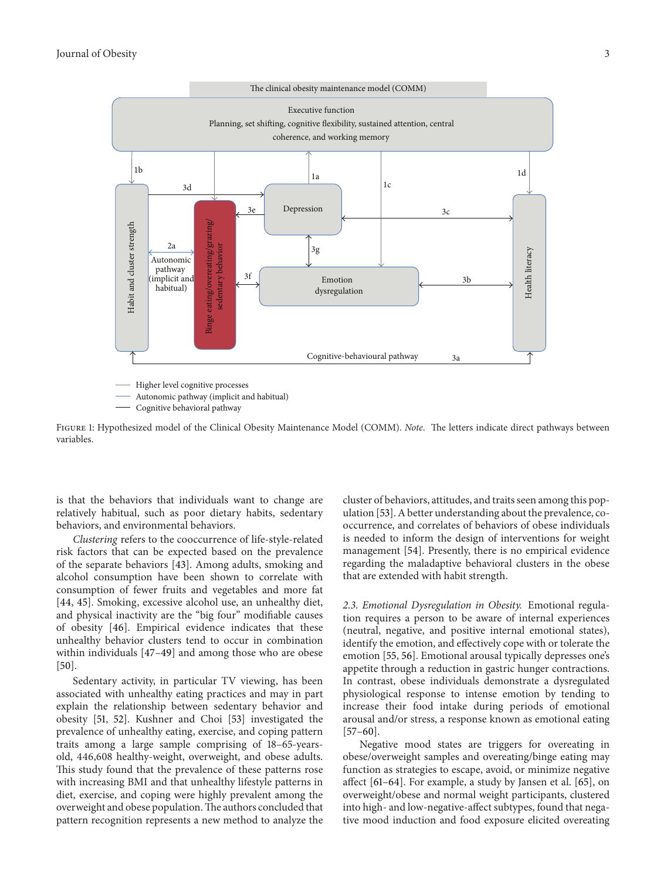

Autonomic pathway (implicit and habitual)

<span id="page-2-0"></span>- Cognitive behavioral pathway

Figure 1: Hypothesized model of the Clinical Obesity Maintenance Model (COMM). *Note*. The letters indicate direct pathways between variables.

is that the behaviors that individuals want to change are relatively habitual, such as poor dietary habits, sedentary behaviors, and environmental behaviors.

*Clustering* refers to the cooccurrence of life-style-related risk factors that can be expected based on the prevalence of the separate behaviors [\[43](#page-6-5)]. Among adults, smoking and alcohol consumption have been shown to correlate with consumption of fewer fruits and vegetables and more fat [\[44](#page-6-6), [45\]](#page-6-7). Smoking, excessive alcohol use, an unhealthy diet, and physical inactivity are the "big four" modifiable causes of obesity [\[46](#page-6-8)]. Empirical evidence indicates that these unhealthy behavior clusters tend to occur in combination within individuals [\[47](#page-6-9)[–49](#page-6-10)] and among those who are obese [\[50\]](#page-6-11).

Sedentary activity, in particular TV viewing, has been associated with unhealthy eating practices and may in part explain the relationship between sedentary behavior and obesity [\[51](#page-6-12), [52](#page-6-13)]. Kushner and Choi [\[53](#page-6-14)] investigated the prevalence of unhealthy eating, exercise, and coping pattern traits among a large sample comprising of 18–65-yearsold, 446,608 healthy-weight, overweight, and obese adults. This study found that the prevalence of these patterns rose with increasing BMI and that unhealthy lifestyle patterns in diet, exercise, and coping were highly prevalent among the overweight and obese population.The authors concluded that pattern recognition represents a new method to analyze the cluster of behaviors, attitudes, and traits seen among this population [\[53\]](#page-6-14). A better understanding about the prevalence, cooccurrence, and correlates of behaviors of obese individuals is needed to inform the design of interventions for weight management [\[54](#page-6-15)]. Presently, there is no empirical evidence regarding the maladaptive behavioral clusters in the obese that are extended with habit strength.

*2.3. Emotional Dysregulation in Obesity.* Emotional regulation requires a person to be aware of internal experiences (neutral, negative, and positive internal emotional states), identify the emotion, and effectively cope with or tolerate the emotion [\[55,](#page-6-16) [56\]](#page-6-17). Emotional arousal typically depresses one's appetite through a reduction in gastric hunger contractions. In contrast, obese individuals demonstrate a dysregulated physiological response to intense emotion by tending to increase their food intake during periods of emotional arousal and/or stress, a response known as emotional eating [\[57](#page-6-18)[–60](#page-6-19)].

Negative mood states are triggers for overeating in obese/overweight samples and overeating/binge eating may function as strategies to escape, avoid, or minimize negative affect [\[61](#page-6-20)[–64\]](#page-6-21). For example, a study by Jansen et al. [\[65\]](#page-6-22), on overweight/obese and normal weight participants, clustered into high- and low-negative-affect subtypes, found that negative mood induction and food exposure elicited overeating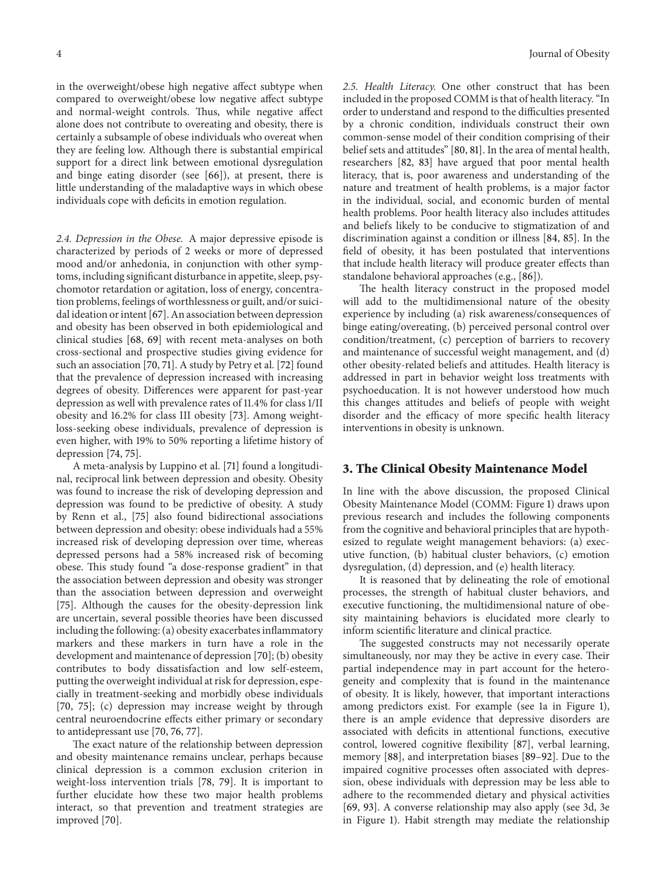in the overweight/obese high negative affect subtype when compared to overweight/obese low negative affect subtype and normal-weight controls. Thus, while negative affect alone does not contribute to overeating and obesity, there is certainly a subsample of obese individuals who overeat when they are feeling low. Although there is substantial empirical support for a direct link between emotional dysregulation and binge eating disorder (see [\[66](#page-6-23)]), at present, there is little understanding of the maladaptive ways in which obese individuals cope with deficits in emotion regulation.

*2.4. Depression in the Obese.* A major depressive episode is characterized by periods of 2 weeks or more of depressed mood and/or anhedonia, in conjunction with other symptoms, including significant disturbance in appetite, sleep, psychomotor retardation or agitation, loss of energy, concentration problems, feelings of worthlessness or guilt, and/or suicidal ideation or intent [\[67\]](#page-6-24). An association between depression and obesity has been observed in both epidemiological and clinical studies [\[68,](#page-6-25) [69](#page-6-26)] with recent meta-analyses on both cross-sectional and prospective studies giving evidence for such an association [\[70,](#page-6-27) [71\]](#page-7-0). A study by Petry et al. [\[72](#page-7-1)] found that the prevalence of depression increased with increasing degrees of obesity. Differences were apparent for past-year depression as well with prevalence rates of 11.4% for class 1/II obesity and 16.2% for class III obesity [\[73\]](#page-7-2). Among weightloss-seeking obese individuals, prevalence of depression is even higher, with 19% to 50% reporting a lifetime history of depression [\[74](#page-7-3), [75\]](#page-7-4).

A meta-analysis by Luppino et al. [\[71](#page-7-0)] found a longitudinal, reciprocal link between depression and obesity. Obesity was found to increase the risk of developing depression and depression was found to be predictive of obesity. A study by Renn et al., [\[75\]](#page-7-4) also found bidirectional associations between depression and obesity: obese individuals had a 55% increased risk of developing depression over time, whereas depressed persons had a 58% increased risk of becoming obese. This study found "a dose-response gradient" in that the association between depression and obesity was stronger than the association between depression and overweight [\[75](#page-7-4)]. Although the causes for the obesity-depression link are uncertain, several possible theories have been discussed including the following: (a) obesity exacerbates inflammatory markers and these markers in turn have a role in the development and maintenance of depression [\[70](#page-6-27)]; (b) obesity contributes to body dissatisfaction and low self-esteem, putting the overweight individual at risk for depression, especially in treatment-seeking and morbidly obese individuals [\[70](#page-6-27), [75\]](#page-7-4); (c) depression may increase weight by through central neuroendocrine effects either primary or secondary to antidepressant use [\[70](#page-6-27), [76,](#page-7-5) [77\]](#page-7-6).

The exact nature of the relationship between depression and obesity maintenance remains unclear, perhaps because clinical depression is a common exclusion criterion in weight-loss intervention trials [\[78,](#page-7-7) [79\]](#page-7-8). It is important to further elucidate how these two major health problems interact, so that prevention and treatment strategies are improved [\[70](#page-6-27)].

*2.5. Health Literacy.* One other construct that has been included in the proposed COMM is that of health literacy. "In order to understand and respond to the difficulties presented by a chronic condition, individuals construct their own common-sense model of their condition comprising of their belief sets and attitudes" [\[80,](#page-7-9) [81\]](#page-7-10). In the area of mental health, researchers [\[82](#page-7-11), [83](#page-7-12)] have argued that poor mental health literacy, that is, poor awareness and understanding of the nature and treatment of health problems, is a major factor in the individual, social, and economic burden of mental health problems. Poor health literacy also includes attitudes and beliefs likely to be conducive to stigmatization of and discrimination against a condition or illness [\[84,](#page-7-13) [85](#page-7-14)]. In the field of obesity, it has been postulated that interventions that include health literacy will produce greater effects than standalone behavioral approaches (e.g., [\[86\]](#page-7-15)).

The health literacy construct in the proposed model will add to the multidimensional nature of the obesity experience by including (a) risk awareness/consequences of binge eating/overeating, (b) perceived personal control over condition/treatment, (c) perception of barriers to recovery and maintenance of successful weight management, and (d) other obesity-related beliefs and attitudes. Health literacy is addressed in part in behavior weight loss treatments with psychoeducation. It is not however understood how much this changes attitudes and beliefs of people with weight disorder and the efficacy of more specific health literacy interventions in obesity is unknown.

#### **3. The Clinical Obesity Maintenance Model**

In line with the above discussion, the proposed Clinical Obesity Maintenance Model (COMM: Figure [1\)](#page-2-0) draws upon previous research and includes the following components from the cognitive and behavioral principles that are hypothesized to regulate weight management behaviors: (a) executive function, (b) habitual cluster behaviors, (c) emotion dysregulation, (d) depression, and (e) health literacy.

It is reasoned that by delineating the role of emotional processes, the strength of habitual cluster behaviors, and executive functioning, the multidimensional nature of obesity maintaining behaviors is elucidated more clearly to inform scientific literature and clinical practice.

The suggested constructs may not necessarily operate simultaneously, nor may they be active in every case. Their partial independence may in part account for the heterogeneity and complexity that is found in the maintenance of obesity. It is likely, however, that important interactions among predictors exist. For example (see 1a in Figure [1\)](#page-2-0), there is an ample evidence that depressive disorders are associated with deficits in attentional functions, executive control, lowered cognitive flexibility [\[87](#page-7-16)], verbal learning, memory [\[88](#page-7-17)], and interpretation biases [\[89](#page-7-18)[–92\]](#page-7-19). Due to the impaired cognitive processes often associated with depression, obese individuals with depression may be less able to adhere to the recommended dietary and physical activities [\[69,](#page-6-26) [93](#page-7-20)]. A converse relationship may also apply (see 3d, 3e in Figure [1\)](#page-2-0). Habit strength may mediate the relationship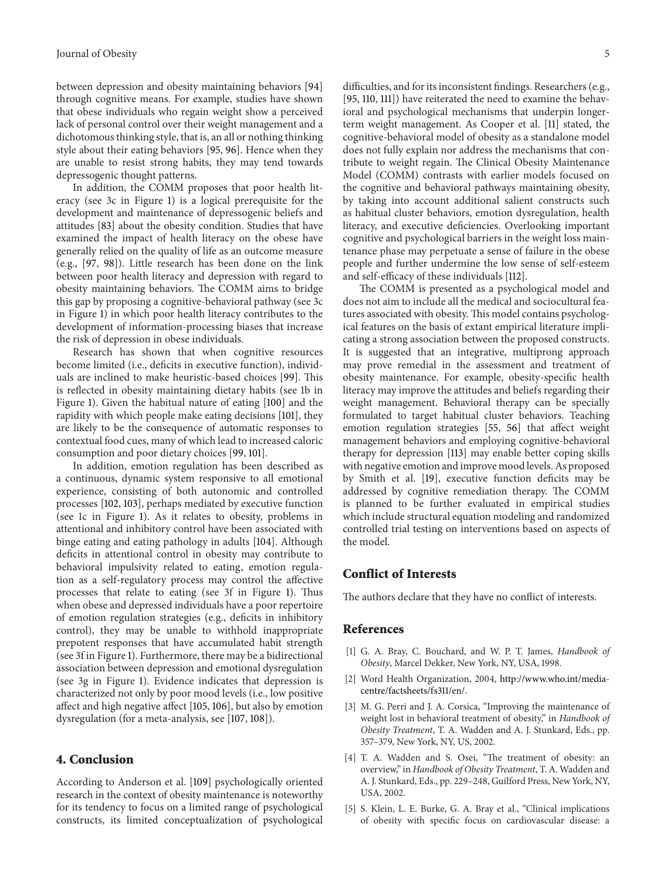between depression and obesity maintaining behaviors [\[94](#page-7-21)] through cognitive means. For example, studies have shown that obese individuals who regain weight show a perceived lack of personal control over their weight management and a dichotomous thinking style, that is, an all or nothing thinking style about their eating behaviors [\[95](#page-7-22), [96\]](#page-7-23). Hence when they are unable to resist strong habits, they may tend towards depressogenic thought patterns.

In addition, the COMM proposes that poor health literacy (see 3c in Figure [1\)](#page-2-0) is a logical prerequisite for the development and maintenance of depressogenic beliefs and attitudes [\[83](#page-7-12)] about the obesity condition. Studies that have examined the impact of health literacy on the obese have generally relied on the quality of life as an outcome measure (e.g., [\[97,](#page-7-24) [98\]](#page-7-25)). Little research has been done on the link between poor health literacy and depression with regard to obesity maintaining behaviors. The COMM aims to bridge this gap by proposing a cognitive-behavioral pathway (see 3c in Figure [1\)](#page-2-0) in which poor health literacy contributes to the development of information-processing biases that increase the risk of depression in obese individuals.

Research has shown that when cognitive resources become limited (i.e., deficits in executive function), individuals are inclined to make heuristic-based choices [\[99](#page-7-26)]. This is reflected in obesity maintaining dietary habits (see 1b in Figure [1\)](#page-2-0). Given the habitual nature of eating [\[100](#page-7-27)] and the rapidity with which people make eating decisions [\[101](#page-7-28)], they are likely to be the consequence of automatic responses to contextual food cues, many of which lead to increased caloric consumption and poor dietary choices [\[99](#page-7-26), [101](#page-7-28)].

In addition, emotion regulation has been described as a continuous, dynamic system responsive to all emotional experience, consisting of both autonomic and controlled processes [\[102,](#page-7-29) [103\]](#page-7-30), perhaps mediated by executive function (see 1c in Figure [1\)](#page-2-0). As it relates to obesity, problems in attentional and inhibitory control have been associated with binge eating and eating pathology in adults [\[104](#page-7-31)]. Although deficits in attentional control in obesity may contribute to behavioral impulsivity related to eating, emotion regulation as a self-regulatory process may control the affective processes that relate to eating (see 3f in Figure [1\)](#page-2-0). Thus when obese and depressed individuals have a poor repertoire of emotion regulation strategies (e.g., deficits in inhibitory control), they may be unable to withhold inappropriate prepotent responses that have accumulated habit strength (see 3f in Figure [1\)](#page-2-0). Furthermore, there may be a bidirectional association between depression and emotional dysregulation (see 3g in Figure [1\)](#page-2-0). Evidence indicates that depression is characterized not only by poor mood levels (i.e., low positive affect and high negative affect [\[105,](#page-8-0) [106](#page-8-1)], but also by emotion dysregulation (for a meta-analysis, see [\[107,](#page-8-2) [108](#page-8-3)]).

#### **4. Conclusion**

According to Anderson et al. [\[109](#page-8-4)] psychologically oriented research in the context of obesity maintenance is noteworthy for its tendency to focus on a limited range of psychological constructs, its limited conceptualization of psychological difficulties, and for its inconsistent findings. Researchers (e.g., [\[95](#page-7-22), [110,](#page-8-5) [111\]](#page-8-6)) have reiterated the need to examine the behavioral and psychological mechanisms that underpin longerterm weight management. As Cooper et al. [\[11\]](#page-5-4) stated, the cognitive-behavioral model of obesity as a standalone model does not fully explain nor address the mechanisms that contribute to weight regain. The Clinical Obesity Maintenance Model (COMM) contrasts with earlier models focused on the cognitive and behavioral pathways maintaining obesity, by taking into account additional salient constructs such as habitual cluster behaviors, emotion dysregulation, health literacy, and executive deficiencies. Overlooking important cognitive and psychological barriers in the weight loss maintenance phase may perpetuate a sense of failure in the obese people and further undermine the low sense of self-esteem and self-efficacy of these individuals [\[112](#page-8-7)].

The COMM is presented as a psychological model and does not aim to include all the medical and sociocultural features associated with obesity. This model contains psychological features on the basis of extant empirical literature implicating a strong association between the proposed constructs. It is suggested that an integrative, multiprong approach may prove remedial in the assessment and treatment of obesity maintenance. For example, obesity-specific health literacy may improve the attitudes and beliefs regarding their weight management. Behavioral therapy can be specially formulated to target habitual cluster behaviors. Teaching emotion regulation strategies [\[55](#page-6-16), [56\]](#page-6-17) that affect weight management behaviors and employing cognitive-behavioral therapy for depression [\[113\]](#page-8-8) may enable better coping skills with negative emotion and improve mood levels. As proposed by Smith et al. [\[19\]](#page-5-11), executive function deficits may be addressed by cognitive remediation therapy. The COMM is planned to be further evaluated in empirical studies which include structural equation modeling and randomized controlled trial testing on interventions based on aspects of the model.

#### **Conflict of Interests**

The authors declare that they have no conflict of interests.

#### <span id="page-4-0"></span>**References**

- <span id="page-4-1"></span>[1] G. A. Bray, C. Bouchard, and W. P. T. James, *Handbook of Obesity*, Marcel Dekker, New York, NY, USA, 1998.
- <span id="page-4-2"></span>[2] Word Health Organization, 2004, [http://www.who.int/media](http://www.who.int/mediacentre/factsheets/fs311/en/)[centre/factsheets/fs311/en/.](http://www.who.int/mediacentre/factsheets/fs311/en/)
- <span id="page-4-3"></span>[3] M. G. Perri and J. A. Corsica, "Improving the maintenance of weight lost in behavioral treatment of obesity," in *Handbook of Obesity Treatment*, T. A. Wadden and A. J. Stunkard, Eds., pp. 357–379, New York, NY, US, 2002.
- <span id="page-4-4"></span>[4] T. A. Wadden and S. Osei, "The treatment of obesity: an overview," in *Handbook of Obesity Treatment*, T. A. Wadden and A. J. Stunkard, Eds., pp. 229–248, Guilford Press, New York, NY, USA, 2002.
- <span id="page-4-5"></span>[5] S. Klein, L. E. Burke, G. A. Bray et al., "Clinical implications of obesity with specific focus on cardiovascular disease: a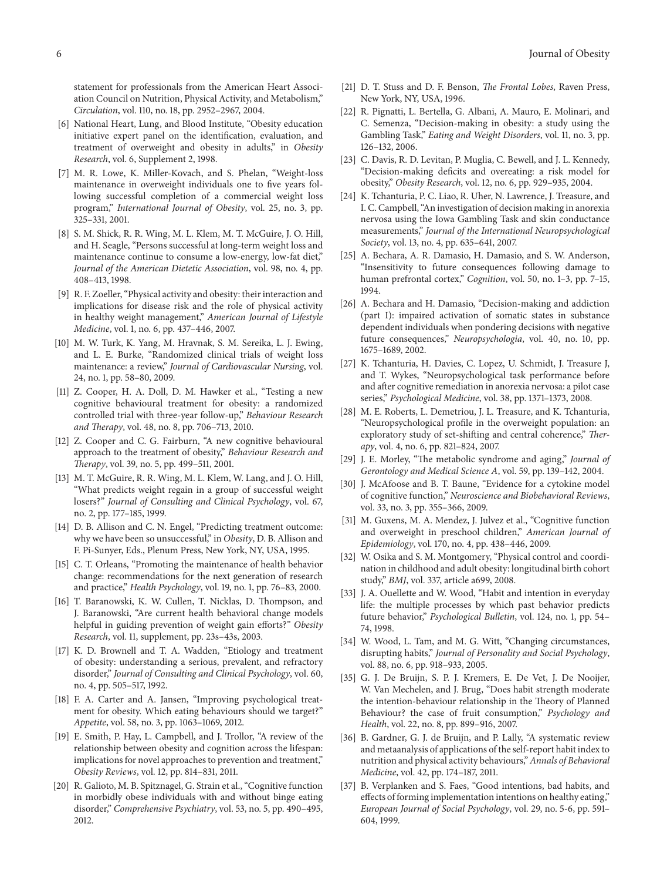statement for professionals from the American Heart Association Council on Nutrition, Physical Activity, and Metabolism," *Circulation*, vol. 110, no. 18, pp. 2952–2967, 2004.

- <span id="page-5-0"></span>[6] National Heart, Lung, and Blood Institute, "Obesity education initiative expert panel on the identification, evaluation, and treatment of overweight and obesity in adults," in *Obesity Research*, vol. 6, Supplement 2, 1998.
- <span id="page-5-1"></span>[7] M. R. Lowe, K. Miller-Kovach, and S. Phelan, "Weight-loss maintenance in overweight individuals one to five years following successful completion of a commercial weight loss program," *International Journal of Obesity*, vol. 25, no. 3, pp. 325–331, 2001.
- [8] S. M. Shick, R. R. Wing, M. L. Klem, M. T. McGuire, J. O. Hill, and H. Seagle, "Persons successful at long-term weight loss and maintenance continue to consume a low-energy, low-fat diet," *Journal of the American Dietetic Association*, vol. 98, no. 4, pp. 408–413, 1998.
- <span id="page-5-2"></span>[9] R. F. Zoeller, "Physical activity and obesity: their interaction and implications for disease risk and the role of physical activity in healthy weight management," *American Journal of Lifestyle Medicine*, vol. 1, no. 6, pp. 437–446, 2007.
- <span id="page-5-3"></span>[10] M. W. Turk, K. Yang, M. Hravnak, S. M. Sereika, L. J. Ewing, and L. E. Burke, "Randomized clinical trials of weight loss maintenance: a review," *Journal of Cardiovascular Nursing*, vol. 24, no. 1, pp. 58–80, 2009.
- <span id="page-5-4"></span>[11] Z. Cooper, H. A. Doll, D. M. Hawker et al., "Testing a new cognitive behavioural treatment for obesity: a randomized controlled trial with three-year follow-up," *Behaviour Research and Therapy*, vol. 48, no. 8, pp. 706–713, 2010.
- <span id="page-5-5"></span>[12] Z. Cooper and C. G. Fairburn, "A new cognitive behavioural approach to the treatment of obesity," *Behaviour Research and Therapy*, vol. 39, no. 5, pp. 499–511, 2001.
- <span id="page-5-6"></span>[13] M. T. McGuire, R. R. Wing, M. L. Klem, W. Lang, and J. O. Hill, "What predicts weight regain in a group of successful weight losers?" *Journal of Consulting and Clinical Psychology*, vol. 67, no. 2, pp. 177–185, 1999.
- <span id="page-5-7"></span>[14] D. B. Allison and C. N. Engel, "Predicting treatment outcome: why we have been so unsuccessful," in *Obesity*, D. B. Allison and F. Pi-Sunyer, Eds., Plenum Press, New York, NY, USA, 1995.
- [15] C. T. Orleans, "Promoting the maintenance of health behavior change: recommendations for the next generation of research and practice," *Health Psychology*, vol. 19, no. 1, pp. 76–83, 2000.
- <span id="page-5-8"></span>[16] T. Baranowski, K. W. Cullen, T. Nicklas, D. Thompson, and J. Baranowski, "Are current health behavioral change models helpful in guiding prevention of weight gain efforts?" *Obesity Research*, vol. 11, supplement, pp. 23s–43s, 2003.
- <span id="page-5-9"></span>[17] K. D. Brownell and T. A. Wadden, "Etiology and treatment of obesity: understanding a serious, prevalent, and refractory disorder," *Journal of Consulting and Clinical Psychology*, vol. 60, no. 4, pp. 505–517, 1992.
- <span id="page-5-10"></span>[18] F. A. Carter and A. Jansen, "Improving psychological treatment for obesity. Which eating behaviours should we target?" *Appetite*, vol. 58, no. 3, pp. 1063–1069, 2012.
- <span id="page-5-11"></span>[19] E. Smith, P. Hay, L. Campbell, and J. Trollor, "A review of the relationship between obesity and cognition across the lifespan: implications for novel approaches to prevention and treatment," *Obesity Reviews*, vol. 12, pp. 814–831, 2011.
- <span id="page-5-12"></span>[20] R. Galioto, M. B. Spitznagel, G. Strain et al., "Cognitive function in morbidly obese individuals with and without binge eating disorder," *Comprehensive Psychiatry*, vol. 53, no. 5, pp. 490–495, 2012.
- <span id="page-5-13"></span>[21] D. T. Stuss and D. F. Benson, *The Frontal Lobes*, Raven Press, New York, NY, USA, 1996.
- <span id="page-5-14"></span>[22] R. Pignatti, L. Bertella, G. Albani, A. Mauro, E. Molinari, and C. Semenza, "Decision-making in obesity: a study using the Gambling Task," *Eating and Weight Disorders*, vol. 11, no. 3, pp. 126–132, 2006.
- <span id="page-5-15"></span>[23] C. Davis, R. D. Levitan, P. Muglia, C. Bewell, and J. L. Kennedy, "Decision-making deficits and overeating: a risk model for obesity," *Obesity Research*, vol. 12, no. 6, pp. 929–935, 2004.
- <span id="page-5-16"></span>[24] K. Tchanturia, P. C. Liao, R. Uher, N. Lawrence, J. Treasure, and I. C. Campbell, "An investigation of decision making in anorexia nervosa using the Iowa Gambling Task and skin conductance measurements," *Journal of the International Neuropsychological Society*, vol. 13, no. 4, pp. 635–641, 2007.
- <span id="page-5-17"></span>[25] A. Bechara, A. R. Damasio, H. Damasio, and S. W. Anderson, "Insensitivity to future consequences following damage to human prefrontal cortex," *Cognition*, vol. 50, no. 1–3, pp. 7–15, 1994.
- <span id="page-5-18"></span>[26] A. Bechara and H. Damasio, "Decision-making and addiction (part I): impaired activation of somatic states in substance dependent individuals when pondering decisions with negative future consequences," *Neuropsychologia*, vol. 40, no. 10, pp. 1675–1689, 2002.
- <span id="page-5-19"></span>[27] K. Tchanturia, H. Davies, C. Lopez, U. Schmidt, J. Treasure J, and T. Wykes, "Neuropsychological task performance before and after cognitive remediation in anorexia nervosa: a pilot case series," *Psychological Medicine*, vol. 38, pp. 1371–1373, 2008.
- <span id="page-5-20"></span>[28] M. E. Roberts, L. Demetriou, J. L. Treasure, and K. Tchanturia, "Neuropsychological profile in the overweight population: an exploratory study of set-shifting and central coherence," *Therapy*, vol. 4, no. 6, pp. 821–824, 2007.
- <span id="page-5-21"></span>[29] J. E. Morley, "The metabolic syndrome and aging," *Journal of Gerontology and Medical Science A*, vol. 59, pp. 139–142, 2004.
- <span id="page-5-22"></span>[30] J. McAfoose and B. T. Baune, "Evidence for a cytokine model of cognitive function," *Neuroscience and Biobehavioral Reviews*, vol. 33, no. 3, pp. 355–366, 2009.
- <span id="page-5-23"></span>[31] M. Guxens, M. A. Mendez, J. Julvez et al., "Cognitive function and overweight in preschool children," *American Journal of Epidemiology*, vol. 170, no. 4, pp. 438–446, 2009.
- <span id="page-5-24"></span>[32] W. Osika and S. M. Montgomery, "Physical control and coordination in childhood and adult obesity: longitudinal birth cohort study," *BMJ*, vol. 337, article a699, 2008.
- <span id="page-5-25"></span>[33] J. A. Ouellette and W. Wood, "Habit and intention in everyday life: the multiple processes by which past behavior predicts future behavior," *Psychological Bulletin*, vol. 124, no. 1, pp. 54– 74, 1998.
- <span id="page-5-26"></span>[34] W. Wood, L. Tam, and M. G. Witt, "Changing circumstances, disrupting habits," *Journal of Personality and Social Psychology*, vol. 88, no. 6, pp. 918–933, 2005.
- <span id="page-5-27"></span>[35] G. J. De Bruijn, S. P. J. Kremers, E. De Vet, J. De Nooijer, W. Van Mechelen, and J. Brug, "Does habit strength moderate the intention-behaviour relationship in the Theory of Planned Behaviour? the case of fruit consumption," *Psychology and Health*, vol. 22, no. 8, pp. 899–916, 2007.
- <span id="page-5-28"></span>[36] B. Gardner, G. J. de Bruijn, and P. Lally, "A systematic review and metaanalysis of applications of the self-report habit index to nutrition and physical activity behaviours," *Annals of Behavioral Medicine*, vol. 42, pp. 174–187, 2011.
- <span id="page-5-29"></span>[37] B. Verplanken and S. Faes, "Good intentions, bad habits, and effects of forming implementation intentions on healthy eating," *European Journal of Social Psychology*, vol. 29, no. 5-6, pp. 591– 604, 1999.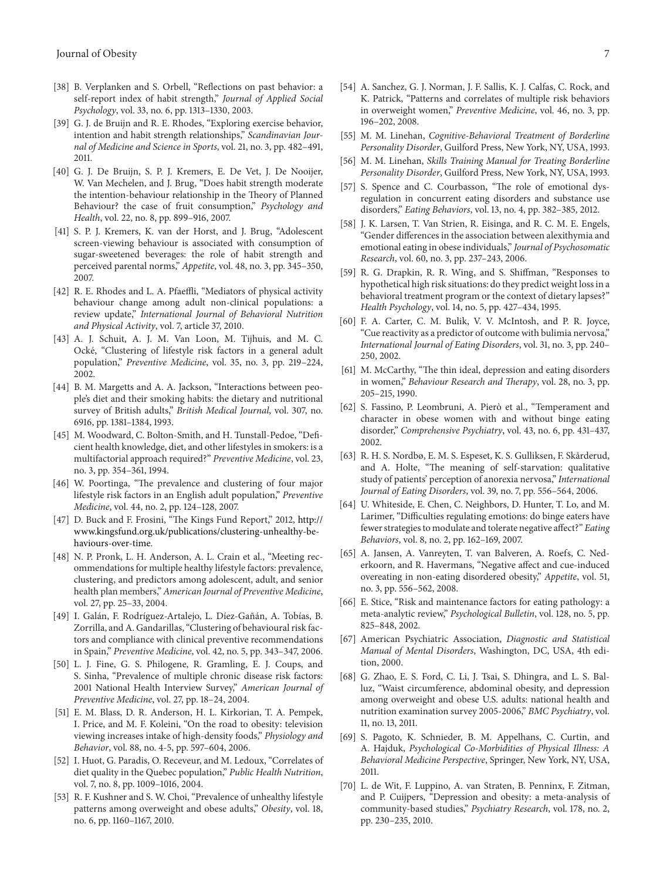- <span id="page-6-0"></span>[38] B. Verplanken and S. Orbell, "Reflections on past behavior: a self-report index of habit strength," *Journal of Applied Social Psychology*, vol. 33, no. 6, pp. 1313–1330, 2003.
- <span id="page-6-1"></span>[39] G. J. de Bruijn and R. E. Rhodes, "Exploring exercise behavior, intention and habit strength relationships," *Scandinavian Journal of Medicine and Science in Sports*, vol. 21, no. 3, pp. 482–491, 2011.
- <span id="page-6-2"></span>[40] G. J. De Bruijn, S. P. J. Kremers, E. De Vet, J. De Nooijer, W. Van Mechelen, and J. Brug, "Does habit strength moderate the intention-behaviour relationship in the Theory of Planned Behaviour? the case of fruit consumption," *Psychology and Health*, vol. 22, no. 8, pp. 899–916, 2007.
- <span id="page-6-3"></span>[41] S. P. J. Kremers, K. van der Horst, and J. Brug, "Adolescent screen-viewing behaviour is associated with consumption of sugar-sweetened beverages: the role of habit strength and perceived parental norms," *Appetite*, vol. 48, no. 3, pp. 345–350, 2007.
- <span id="page-6-4"></span>[42] R. E. Rhodes and L. A. Pfaeffli, "Mediators of physical activity behaviour change among adult non-clinical populations: a review update," *International Journal of Behavioral Nutrition and Physical Activity*, vol. 7, article 37, 2010.
- <span id="page-6-5"></span>[43] A. J. Schuit, A. J. M. Van Loon, M. Tijhuis, and M. C. Ocke, "Clustering of lifestyle risk factors in a general adult ´ population," *Preventive Medicine*, vol. 35, no. 3, pp. 219–224, 2002.
- <span id="page-6-6"></span>[44] B. M. Margetts and A. A. Jackson, "Interactions between people's diet and their smoking habits: the dietary and nutritional survey of British adults," *British Medical Journal*, vol. 307, no. 6916, pp. 1381–1384, 1993.
- <span id="page-6-7"></span>[45] M. Woodward, C. Bolton-Smith, and H. Tunstall-Pedoe, "Deficient health knowledge, diet, and other lifestyles in smokers: is a multifactorial approach required?" *Preventive Medicine*, vol. 23, no. 3, pp. 354–361, 1994.
- <span id="page-6-8"></span>[46] W. Poortinga, "The prevalence and clustering of four major lifestyle risk factors in an English adult population," *Preventive Medicine*, vol. 44, no. 2, pp. 124–128, 2007.
- <span id="page-6-9"></span>[47] D. Buck and F. Frosini, "The Kings Fund Report," 2012, [http://](http://www.kingsfund.org.uk/publications/clustering-unhealthy-behaviours-over-time) [www.kingsfund.org.uk/publications/clustering-unhealthy-be](http://www.kingsfund.org.uk/publications/clustering-unhealthy-behaviours-over-time)[haviours-over-time.](http://www.kingsfund.org.uk/publications/clustering-unhealthy-behaviours-over-time)
- [48] N. P. Pronk, L. H. Anderson, A. L. Crain et al., "Meeting recommendations for multiple healthy lifestyle factors: prevalence, clustering, and predictors among adolescent, adult, and senior health plan members," *American Journal of Preventive Medicine*, vol. 27, pp. 25–33, 2004.
- <span id="page-6-10"></span>[49] I. Galán, F. Rodríguez-Artalejo, L. Díez-Gañán, A. Tobías, B. Zorrilla, and A. Gandarillas, "Clustering of behavioural risk factors and compliance with clinical preventive recommendations in Spain," *Preventive Medicine*, vol. 42, no. 5, pp. 343–347, 2006.
- <span id="page-6-11"></span>[50] L. J. Fine, G. S. Philogene, R. Gramling, E. J. Coups, and S. Sinha, "Prevalence of multiple chronic disease risk factors: 2001 National Health Interview Survey," *American Journal of Preventive Medicine*, vol. 27, pp. 18–24, 2004.
- <span id="page-6-12"></span>[51] E. M. Blass, D. R. Anderson, H. L. Kirkorian, T. A. Pempek, I. Price, and M. F. Koleini, "On the road to obesity: television viewing increases intake of high-density foods," *Physiology and Behavior*, vol. 88, no. 4-5, pp. 597–604, 2006.
- <span id="page-6-13"></span>[52] I. Huot, G. Paradis, O. Receveur, and M. Ledoux, "Correlates of diet quality in the Quebec population," *Public Health Nutrition*, vol. 7, no. 8, pp. 1009–1016, 2004.
- <span id="page-6-14"></span>[53] R. F. Kushner and S. W. Choi, "Prevalence of unhealthy lifestyle patterns among overweight and obese adults," *Obesity*, vol. 18, no. 6, pp. 1160–1167, 2010.
- <span id="page-6-15"></span>[54] A. Sanchez, G. J. Norman, J. F. Sallis, K. J. Calfas, C. Rock, and K. Patrick, "Patterns and correlates of multiple risk behaviors in overweight women," *Preventive Medicine*, vol. 46, no. 3, pp. 196–202, 2008.
- <span id="page-6-16"></span>[55] M. M. Linehan, *Cognitive-Behavioral Treatment of Borderline Personality Disorder*, Guilford Press, New York, NY, USA, 1993.
- <span id="page-6-17"></span>[56] M. M. Linehan, *Skills Training Manual for Treating Borderline Personality Disorder*, Guilford Press, New York, NY, USA, 1993.
- <span id="page-6-18"></span>[57] S. Spence and C. Courbasson, "The role of emotional dysregulation in concurrent eating disorders and substance use disorders," *Eating Behaviors*, vol. 13, no. 4, pp. 382–385, 2012.
- [58] J. K. Larsen, T. Van Strien, R. Eisinga, and R. C. M. E. Engels, "Gender differences in the association between alexithymia and emotional eating in obese individuals," *Journal of Psychosomatic Research*, vol. 60, no. 3, pp. 237–243, 2006.
- [59] R. G. Drapkin, R. R. Wing, and S. Shiffman, "Responses to hypothetical high risk situations: do they predict weight loss in a behavioral treatment program or the context of dietary lapses?" *Health Psychology*, vol. 14, no. 5, pp. 427–434, 1995.
- <span id="page-6-19"></span>[60] F. A. Carter, C. M. Bulik, V. V. McIntosh, and P. R. Joyce, "Cue reactivity as a predictor of outcome with bulimia nervosa," *International Journal of Eating Disorders*, vol. 31, no. 3, pp. 240– 250, 2002.
- <span id="page-6-20"></span>[61] M. McCarthy, "The thin ideal, depression and eating disorders in women," *Behaviour Research and Therapy*, vol. 28, no. 3, pp. 205–215, 1990.
- [62] S. Fassino, P. Leombruni, A. Pierò et al., "Temperament and character in obese women with and without binge eating disorder," *Comprehensive Psychiatry*, vol. 43, no. 6, pp. 431–437, 2002.
- [63] R. H. S. Nordbø, E. M. S. Espeset, K. S. Gulliksen, F. Skårderud, and A. Holte, "The meaning of self-starvation: qualitative study of patients' perception of anorexia nervosa," *International Journal of Eating Disorders*, vol. 39, no. 7, pp. 556–564, 2006.
- <span id="page-6-21"></span>[64] U. Whiteside, E. Chen, C. Neighbors, D. Hunter, T. Lo, and M. Larimer, "Difficulties regulating emotions: do binge eaters have fewer strategies to modulate and tolerate negative affect?" *Eating Behaviors*, vol. 8, no. 2, pp. 162–169, 2007.
- <span id="page-6-22"></span>[65] A. Jansen, A. Vanreyten, T. van Balveren, A. Roefs, C. Nederkoorn, and R. Havermans, "Negative affect and cue-induced overeating in non-eating disordered obesity," *Appetite*, vol. 51, no. 3, pp. 556–562, 2008.
- <span id="page-6-23"></span>[66] E. Stice, "Risk and maintenance factors for eating pathology: a meta-analytic review," *Psychological Bulletin*, vol. 128, no. 5, pp. 825–848, 2002.
- <span id="page-6-24"></span>[67] American Psychiatric Association, *Diagnostic and Statistical Manual of Mental Disorders*, Washington, DC, USA, 4th edition, 2000.
- <span id="page-6-25"></span>[68] G. Zhao, E. S. Ford, C. Li, J. Tsai, S. Dhingra, and L. S. Balluz, "Waist circumference, abdominal obesity, and depression among overweight and obese U.S. adults: national health and nutrition examination survey 2005-2006," *BMC Psychiatry*, vol. 11, no. 13, 2011.
- <span id="page-6-26"></span>[69] S. Pagoto, K. Schnieder, B. M. Appelhans, C. Curtin, and A. Hajduk, *Psychological Co-Morbidities of Physical Illness: A Behavioral Medicine Perspective*, Springer, New York, NY, USA, 2011.
- <span id="page-6-27"></span>[70] L. de Wit, F. Luppino, A. van Straten, B. Penninx, F. Zitman, and P. Cuijpers, "Depression and obesity: a meta-analysis of community-based studies," *Psychiatry Research*, vol. 178, no. 2, pp. 230–235, 2010.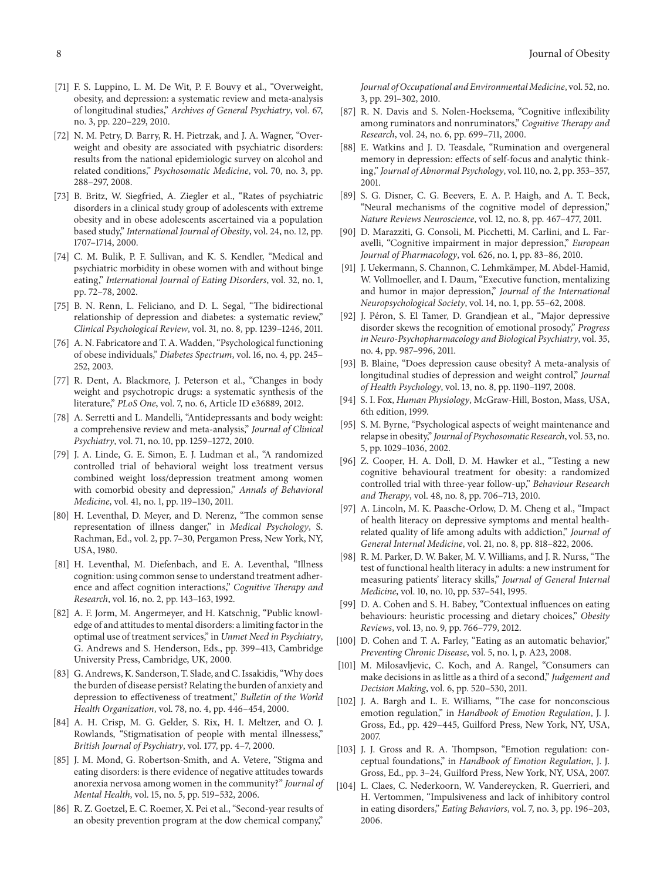- <span id="page-7-0"></span>[71] F. S. Luppino, L. M. De Wit, P. F. Bouvy et al., "Overweight, obesity, and depression: a systematic review and meta-analysis of longitudinal studies," *Archives of General Psychiatry*, vol. 67, no. 3, pp. 220–229, 2010.
- <span id="page-7-1"></span>[72] N. M. Petry, D. Barry, R. H. Pietrzak, and J. A. Wagner, "Overweight and obesity are associated with psychiatric disorders: results from the national epidemiologic survey on alcohol and related conditions," *Psychosomatic Medicine*, vol. 70, no. 3, pp. 288–297, 2008.
- <span id="page-7-2"></span>[73] B. Britz, W. Siegfried, A. Ziegler et al., "Rates of psychiatric disorders in a clinical study group of adolescents with extreme obesity and in obese adolescents ascertained via a population based study," *International Journal of Obesity*, vol. 24, no. 12, pp. 1707–1714, 2000.
- <span id="page-7-3"></span>[74] C. M. Bulik, P. F. Sullivan, and K. S. Kendler, "Medical and psychiatric morbidity in obese women with and without binge eating," *International Journal of Eating Disorders*, vol. 32, no. 1, pp. 72–78, 2002.
- <span id="page-7-4"></span>[75] B. N. Renn, L. Feliciano, and D. L. Segal, "The bidirectional relationship of depression and diabetes: a systematic review," *Clinical Psychological Review*, vol. 31, no. 8, pp. 1239–1246, 2011.
- <span id="page-7-5"></span>[76] A. N. Fabricatore and T. A. Wadden, "Psychological functioning of obese individuals," *Diabetes Spectrum*, vol. 16, no. 4, pp. 245– 252, 2003.
- <span id="page-7-6"></span>[77] R. Dent, A. Blackmore, J. Peterson et al., "Changes in body weight and psychotropic drugs: a systematic synthesis of the literature," *PLoS One*, vol. 7, no. 6, Article ID e36889, 2012.
- <span id="page-7-7"></span>[78] A. Serretti and L. Mandelli, "Antidepressants and body weight: a comprehensive review and meta-analysis," *Journal of Clinical Psychiatry*, vol. 71, no. 10, pp. 1259–1272, 2010.
- <span id="page-7-8"></span>[79] J. A. Linde, G. E. Simon, E. J. Ludman et al., "A randomized controlled trial of behavioral weight loss treatment versus combined weight loss/depression treatment among women with comorbid obesity and depression," *Annals of Behavioral Medicine*, vol. 41, no. 1, pp. 119–130, 2011.
- <span id="page-7-9"></span>[80] H. Leventhal, D. Meyer, and D. Nerenz, "The common sense representation of illness danger," in *Medical Psychology*, S. Rachman, Ed., vol. 2, pp. 7–30, Pergamon Press, New York, NY, USA, 1980.
- <span id="page-7-10"></span>[81] H. Leventhal, M. Diefenbach, and E. A. Leventhal, "Illness cognition: using common sense to understand treatment adherence and affect cognition interactions," *Cognitive Therapy and Research*, vol. 16, no. 2, pp. 143–163, 1992.
- <span id="page-7-11"></span>[82] A. F. Jorm, M. Angermeyer, and H. Katschnig, "Public knowledge of and attitudes to mental disorders: a limiting factor in the optimal use of treatment services," in *Unmet Need in Psychiatry*, G. Andrews and S. Henderson, Eds., pp. 399–413, Cambridge University Press, Cambridge, UK, 2000.
- <span id="page-7-12"></span>[83] G. Andrews, K. Sanderson, T. Slade, and C. Issakidis, "Why does the burden of disease persist? Relating the burden of anxiety and depression to effectiveness of treatment," *Bulletin of the World Health Organization*, vol. 78, no. 4, pp. 446–454, 2000.
- <span id="page-7-13"></span>[84] A. H. Crisp, M. G. Gelder, S. Rix, H. I. Meltzer, and O. J. Rowlands, "Stigmatisation of people with mental illnessess," *British Journal of Psychiatry*, vol. 177, pp. 4–7, 2000.
- <span id="page-7-14"></span>[85] J. M. Mond, G. Robertson-Smith, and A. Vetere, "Stigma and eating disorders: is there evidence of negative attitudes towards anorexia nervosa among women in the community?" *Journal of Mental Health*, vol. 15, no. 5, pp. 519–532, 2006.
- <span id="page-7-15"></span>[86] R. Z. Goetzel, E. C. Roemer, X. Pei et al., "Second-year results of an obesity prevention program at the dow chemical company,"

*Journal of Occupational and Environmental Medicine*, vol. 52, no. 3, pp. 291–302, 2010.

- <span id="page-7-16"></span>[87] R. N. Davis and S. Nolen-Hoeksema, "Cognitive inflexibility among ruminators and nonruminators," *Cognitive Therapy and Research*, vol. 24, no. 6, pp. 699–711, 2000.
- <span id="page-7-17"></span>[88] E. Watkins and J. D. Teasdale, "Rumination and overgeneral memory in depression: effects of self-focus and analytic thinking," *Journal of Abnormal Psychology*, vol. 110, no. 2, pp. 353–357, 2001.
- <span id="page-7-18"></span>[89] S. G. Disner, C. G. Beevers, E. A. P. Haigh, and A. T. Beck, "Neural mechanisms of the cognitive model of depression," *Nature Reviews Neuroscience*, vol. 12, no. 8, pp. 467–477, 2011.
- [90] D. Marazziti, G. Consoli, M. Picchetti, M. Carlini, and L. Faravelli, "Cognitive impairment in major depression," *European Journal of Pharmacology*, vol. 626, no. 1, pp. 83–86, 2010.
- [91] J. Uekermann, S. Channon, C. Lehmkämper, M. Abdel-Hamid, W. Vollmoeller, and I. Daum, "Executive function, mentalizing and humor in major depression," *Journal of the International Neuropsychological Society*, vol. 14, no. 1, pp. 55–62, 2008.
- <span id="page-7-19"></span>[92] J. Péron, S. El Tamer, D. Grandjean et al., "Major depressive disorder skews the recognition of emotional prosody," *Progress in Neuro-Psychopharmacology and Biological Psychiatry*, vol. 35, no. 4, pp. 987–996, 2011.
- <span id="page-7-20"></span>[93] B. Blaine, "Does depression cause obesity? A meta-analysis of longitudinal studies of depression and weight control," *Journal of Health Psychology*, vol. 13, no. 8, pp. 1190–1197, 2008.
- <span id="page-7-21"></span>[94] S. I. Fox, *Human Physiology*, McGraw-Hill, Boston, Mass, USA, 6th edition, 1999.
- <span id="page-7-22"></span>[95] S. M. Byrne, "Psychological aspects of weight maintenance and relapse in obesity," *Journal of Psychosomatic Research*, vol. 53, no. 5, pp. 1029–1036, 2002.
- <span id="page-7-23"></span>[96] Z. Cooper, H. A. Doll, D. M. Hawker et al., "Testing a new cognitive behavioural treatment for obesity: a randomized controlled trial with three-year follow-up," *Behaviour Research and Therapy*, vol. 48, no. 8, pp. 706–713, 2010.
- <span id="page-7-24"></span>[97] A. Lincoln, M. K. Paasche-Orlow, D. M. Cheng et al., "Impact of health literacy on depressive symptoms and mental healthrelated quality of life among adults with addiction," *Journal of General Internal Medicine*, vol. 21, no. 8, pp. 818–822, 2006.
- <span id="page-7-25"></span>[98] R. M. Parker, D. W. Baker, M. V. Williams, and J. R. Nurss, "The test of functional health literacy in adults: a new instrument for measuring patients' literacy skills," *Journal of General Internal Medicine*, vol. 10, no. 10, pp. 537–541, 1995.
- <span id="page-7-26"></span>[99] D. A. Cohen and S. H. Babey, "Contextual influences on eating behaviours: heuristic processing and dietary choices," *Obesity Reviews*, vol. 13, no. 9, pp. 766–779, 2012.
- <span id="page-7-27"></span>[100] D. Cohen and T. A. Farley, "Eating as an automatic behavior," *Preventing Chronic Disease*, vol. 5, no. 1, p. A23, 2008.
- <span id="page-7-28"></span>[101] M. Milosavljevic, C. Koch, and A. Rangel, "Consumers can make decisions in as little as a third of a second," *Judgement and Decision Making*, vol. 6, pp. 520–530, 2011.
- <span id="page-7-29"></span>[102] J. A. Bargh and L. E. Williams, "The case for nonconscious emotion regulation," in *Handbook of Emotion Regulation*, J. J. Gross, Ed., pp. 429–445, Guilford Press, New York, NY, USA, 2007.
- <span id="page-7-30"></span>[103] J. J. Gross and R. A. Thompson, "Emotion regulation: conceptual foundations," in *Handbook of Emotion Regulation*, J. J. Gross, Ed., pp. 3–24, Guilford Press, New York, NY, USA, 2007.
- <span id="page-7-31"></span>[104] L. Claes, C. Nederkoorn, W. Vandereycken, R. Guerrieri, and H. Vertommen, "Impulsiveness and lack of inhibitory control in eating disorders," *Eating Behaviors*, vol. 7, no. 3, pp. 196–203, 2006.